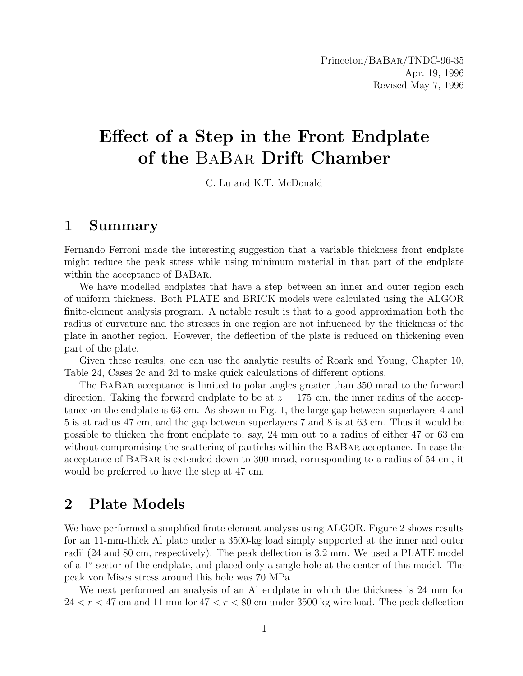# Effect of a Step in the Front Endplate of the BaBar Drift Chamber

C. Lu and K.T. McDonald

### 1 Summary

Fernando Ferroni made the interesting suggestion that a variable thickness front endplate might reduce the peak stress while using minimum material in that part of the endplate within the acceptance of BABAR.

We have modelled endplates that have a step between an inner and outer region each of uniform thickness. Both PLATE and BRICK models were calculated using the ALGOR finite-element analysis program. A notable result is that to a good approximation both the radius of curvature and the stresses in one region are not influenced by the thickness of the plate in another region. However, the deflection of the plate is reduced on thickening even part of the plate.

Given these results, one can use the analytic results of Roark and Young, Chapter 10, Table 24, Cases 2c and 2d to make quick calculations of different options.

The BaBar acceptance is limited to polar angles greater than 350 mrad to the forward direction. Taking the forward endplate to be at  $z = 175$  cm, the inner radius of the acceptance on the endplate is 63 cm. As shown in Fig. 1, the large gap between superlayers 4 and 5 is at radius 47 cm, and the gap between superlayers 7 and 8 is at 63 cm. Thus it would be possible to thicken the front endplate to, say, 24 mm out to a radius of either 47 or 63 cm without compromising the scattering of particles within the BaBar acceptance. In case the acceptance of BaBar is extended down to 300 mrad, corresponding to a radius of 54 cm, it would be preferred to have the step at 47 cm.

### 2 Plate Models

We have performed a simplified finite element analysis using ALGOR. Figure 2 shows results for an 11-mm-thick Al plate under a 3500-kg load simply supported at the inner and outer radii (24 and 80 cm, respectively). The peak deflection is 3.2 mm. We used a PLATE model of a 1◦ -sector of the endplate, and placed only a single hole at the center of this model. The peak von Mises stress around this hole was 70 MPa.

We next performed an analysis of an Al endplate in which the thickness is 24 mm for  $24 < r < 47$  cm and 11 mm for  $47 < r < 80$  cm under 3500 kg wire load. The peak deflection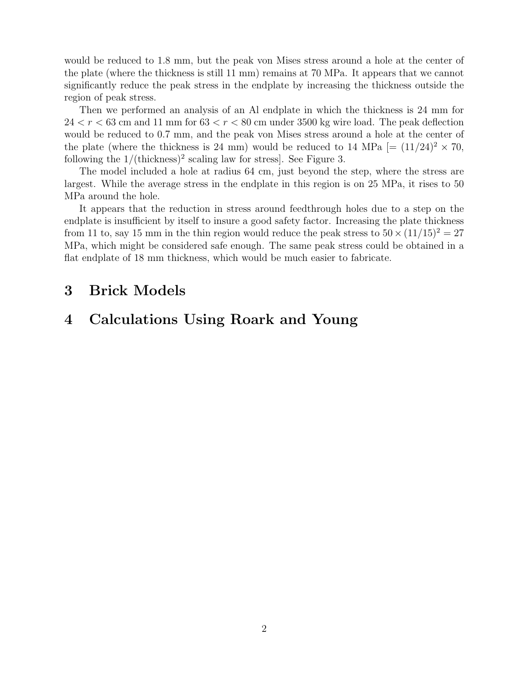would be reduced to 1.8 mm, but the peak von Mises stress around a hole at the center of the plate (where the thickness is still 11 mm) remains at 70 MPa. It appears that we cannot significantly reduce the peak stress in the endplate by increasing the thickness outside the region of peak stress.

Then we performed an analysis of an Al endplate in which the thickness is 24 mm for  $24 < r < 63$  cm and 11 mm for  $63 < r < 80$  cm under 3500 kg wire load. The peak deflection would be reduced to 0.7 mm, and the peak von Mises stress around a hole at the center of the plate (where the thickness is 24 mm) would be reduced to 14 MPa  $[=(11/24)^2 \times 70$ , following the  $1/(\text{thickness})^2$  scaling law for stress. See Figure 3.

The model included a hole at radius 64 cm, just beyond the step, where the stress are largest. While the average stress in the endplate in this region is on 25 MPa, it rises to 50 MPa around the hole.

It appears that the reduction in stress around feedthrough holes due to a step on the endplate is insufficient by itself to insure a good safety factor. Increasing the plate thickness from 11 to, say 15 mm in the thin region would reduce the peak stress to  $50 \times (11/15)^2 = 27$ MPa, which might be considered safe enough. The same peak stress could be obtained in a flat endplate of 18 mm thickness, which would be much easier to fabricate.

### 3 Brick Models

## 4 Calculations Using Roark and Young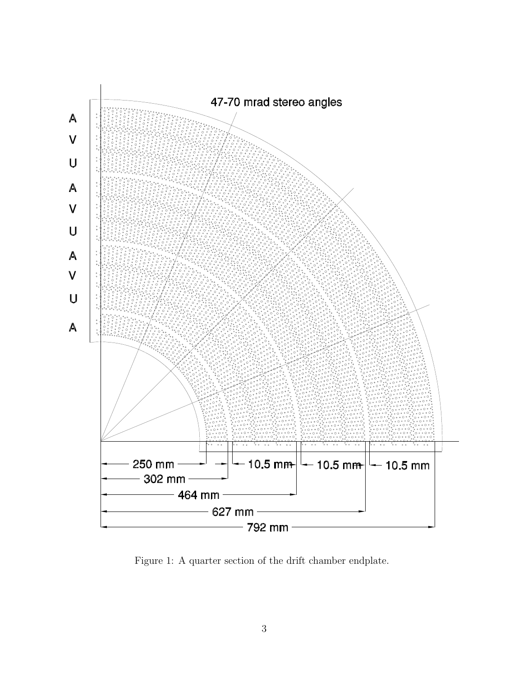

Figure 1: A quarter section of the drift chamber endplate.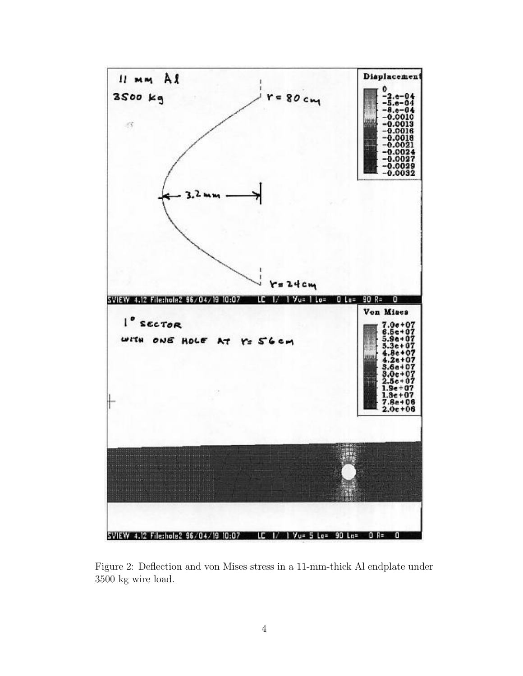

Figure 2: Deflection and von Mises stress in a 11-mm-thick Al endplate under 3500 kg wire load.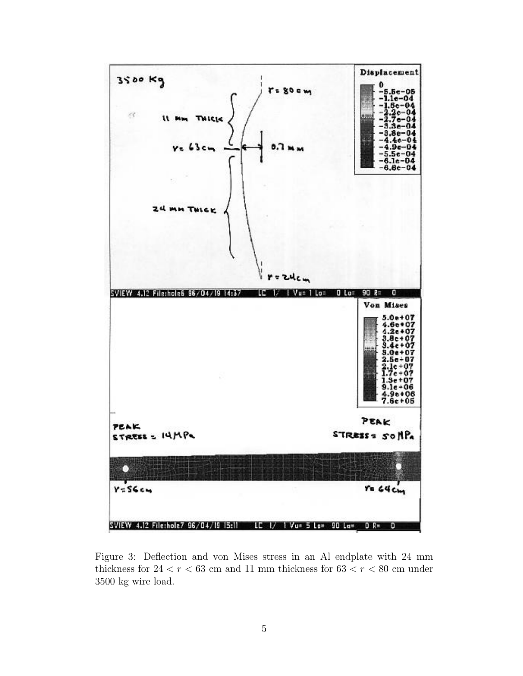

Figure 3: Deflection and von Mises stress in an Al endplate with 24 mm thickness for  $24 < r < 63$  cm and 11 mm thickness for  $63 < r < 80$  cm under 3500 kg wire load.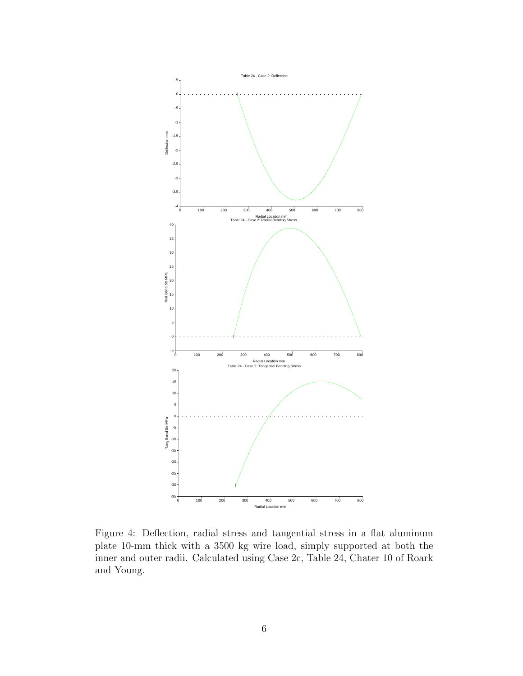

Figure 4: Deflection, radial stress and tangential stress in a flat aluminum plate 10-mm thick with a 3500 kg wire load, simply supported at both the inner and outer radii. Calculated using Case 2c, Table 24, Chater 10 of Roark and Young.